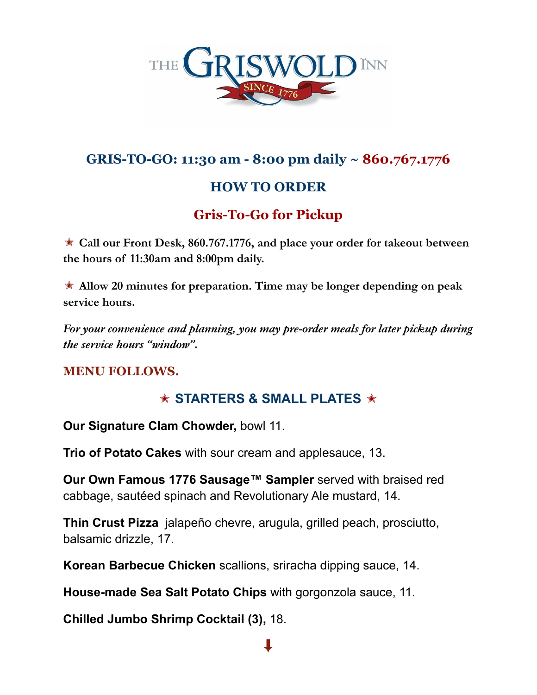

## **GRIS-TO-GO: 11:30 am - 8:00 pm daily ~ 860.767.1776**

# **HOW TO ORDER**

# **Gris-To-Go for Pickup**

✭ **Call our Front Desk, 860.767.1776, and place your order for takeout between the hours of 11:30am and 8:00pm daily.**

✭ **Allow 20 minutes for preparation. Time may be longer depending on peak service hours.**

*For your convenience and planning, you may pre-order meals for later pickup during the service hours "window".*

### **MENU FOLLOWS.**

## ✭ **STARTERS & SMALL PLATES** ✭

**Our Signature Clam Chowder,** bowl 11.

**Trio of Potato Cakes** with sour cream and applesauce, 13.

**Our Own Famous 1776 Sausage™ Sampler** served with braised red cabbage, sautéed spinach and Revolutionary Ale mustard, 14.

**Thin Crust Pizza** jalapeño chevre, arugula, grilled peach, prosciutto, balsamic drizzle, 17.

**Korean Barbecue Chicken** scallions, sriracha dipping sauce, 14.

**House-made Sea Salt Potato Chips** with gorgonzola sauce, 11.

**Chilled Jumbo Shrimp Cocktail (3),** 18.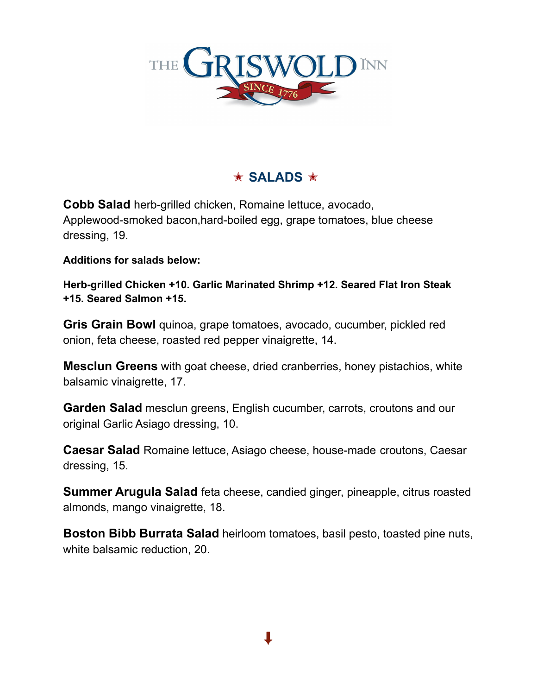

## ✭ **SALADS** ✭

**Cobb Salad** herb-grilled chicken, Romaine lettuce, avocado, Applewood-smoked bacon,hard-boiled egg, grape tomatoes, blue cheese dressing, 19.

**Additions for salads below:**

**Herb-grilled Chicken +10. Garlic Marinated Shrimp +12. Seared Flat Iron Steak +15. Seared Salmon +15.**

**Gris Grain Bowl** quinoa, grape tomatoes, avocado, cucumber, pickled red onion, feta cheese, roasted red pepper vinaigrette, 14.

**Mesclun Greens** with goat cheese, dried cranberries, honey pistachios, white balsamic vinaigrette, 17.

**Garden Salad** mesclun greens, English cucumber, carrots, croutons and our original Garlic Asiago dressing, 10.

**Caesar Salad** Romaine lettuce, Asiago cheese, house-made croutons, Caesar dressing, 15.

**Summer Arugula Salad** feta cheese, candied ginger, pineapple, citrus roasted almonds, mango vinaigrette, 18.

**Boston Bibb Burrata Salad** heirloom tomatoes, basil pesto, toasted pine nuts, white balsamic reduction, 20.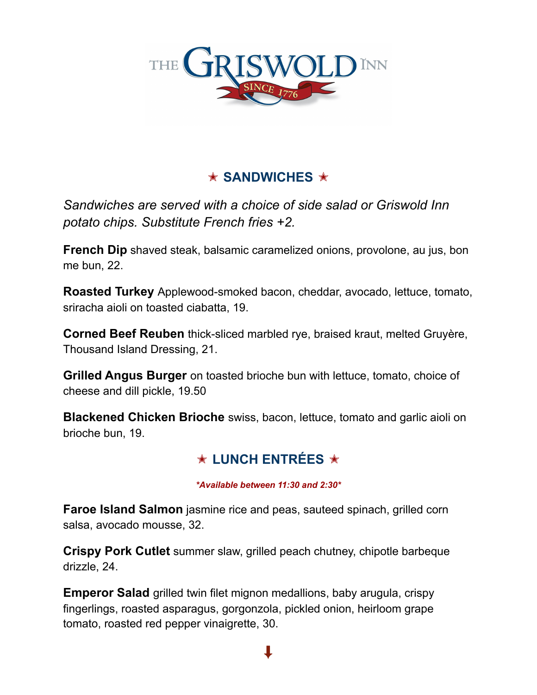

# ✭ **SANDWICHES** ✭

*Sandwiches are served with a choice of side salad or Griswold Inn potato chips. Substitute French fries +2.*

**French Dip** shaved steak, balsamic caramelized onions, provolone, au jus, bon me bun, 22.

**Roasted Turkey** Applewood-smoked bacon, cheddar, avocado, lettuce, tomato, sriracha aioli on toasted ciabatta, 19.

**Corned Beef Reuben** thick-sliced marbled rye, braised kraut, melted Gruyère, Thousand Island Dressing, 21.

**Grilled Angus Burger** on toasted brioche bun with lettuce, tomato, choice of cheese and dill pickle, 19.50

**Blackened Chicken Brioche** swiss, bacon, lettuce, tomato and garlic aioli on brioche bun, 19.

## ✭ **LUNCH ENTRÉES** ✭

#### *\*Available between 11:30 and 2:30\**

**Faroe Island Salmon** jasmine rice and peas, sauteed spinach, grilled corn salsa, avocado mousse, 32.

**Crispy Pork Cutlet** summer slaw, grilled peach chutney, chipotle barbeque drizzle, 24.

**Emperor Salad** grilled twin filet mignon medallions, baby arugula, crispy fingerlings, roasted asparagus, gorgonzola, pickled onion, heirloom grape tomato, roasted red pepper vinaigrette, 30.

 $\ddagger$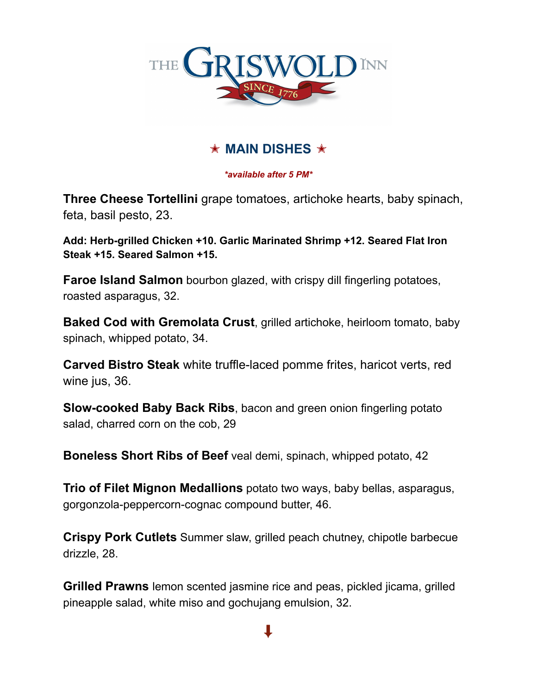

## ✭ **MAIN DISHES** ✭

#### *\*available after 5 PM\**

**Three Cheese Tortellini** grape tomatoes, artichoke hearts, baby spinach, feta, basil pesto, 23.

**Add: Herb-grilled Chicken +10. Garlic Marinated Shrimp +12. Seared Flat Iron Steak +15. Seared Salmon +15.**

**Faroe Island Salmon** bourbon glazed, with crispy dill fingerling potatoes, roasted asparagus, 32.

**Baked Cod with Gremolata Crust**, grilled artichoke, heirloom tomato, baby spinach, whipped potato, 34.

**Carved Bistro Steak** white truffle-laced pomme frites, haricot verts, red wine jus, 36.

**Slow-cooked Baby Back Ribs**, bacon and green onion fingerling potato salad, charred corn on the cob, 29

**Boneless Short Ribs of Beef** veal demi, spinach, whipped potato, 42

**Trio of Filet Mignon Medallions** potato two ways, baby bellas, asparagus, gorgonzola-peppercorn-cognac compound butter, 46.

**Crispy Pork Cutlets** Summer slaw, grilled peach chutney, chipotle barbecue drizzle, 28.

**Grilled Prawns** lemon scented jasmine rice and peas, pickled jicama, grilled pineapple salad, white miso and gochujang emulsion, 32.

 $\ddag$